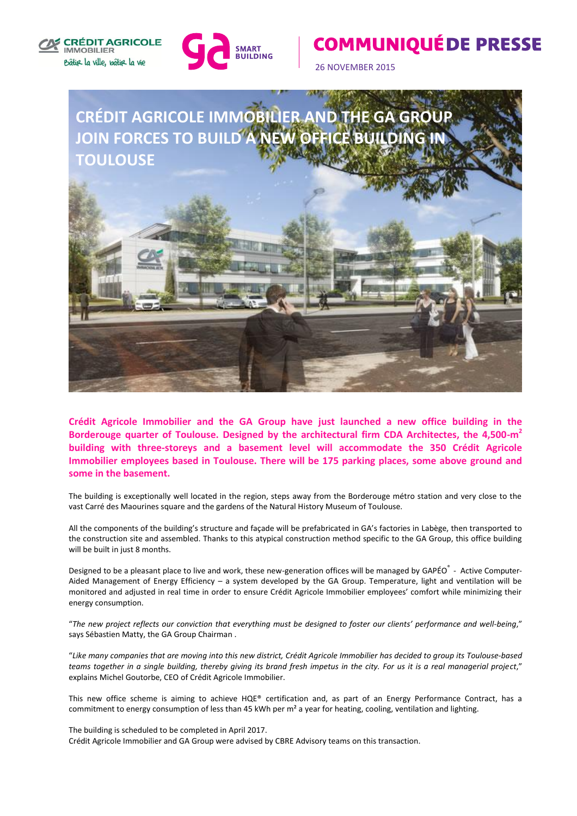



## **COMMUNIQUÉ DE PRESSE**

26 NOVEMBER 2015



**Crédit Agricole Immobilier and the GA Group have just launched a new office building in the Borderouge quarter of Toulouse. Designed by the architectural firm CDA Architectes, the 4,500-m 2 building with three-storeys and a basement level will accommodate the 350 Crédit Agricole Immobilier employees based in Toulouse. There will be 175 parking places, some above ground and some in the basement.**

The building is exceptionally well located in the region, steps away from the Borderouge métro station and very close to the vast Carré des Maourines square and the gardens of the Natural History Museum of Toulouse.

All the components of the building's structure and façade will be prefabricated in GA's factories in Labège, then transported to the construction site and assembled. Thanks to this atypical construction method specific to the GA Group, this office building will be built in just 8 months.

Designed to be a pleasant place to live and work, these new-generation offices will be managed by GAPÉO<sup>®</sup> - Active Computer-Aided Management of Energy Efficiency – a system developed by the GA Group. Temperature, light and ventilation will be monitored and adjusted in real time in order to ensure Crédit Agricole Immobilier employees' comfort while minimizing their energy consumption.

"*The new project reflects our conviction that everything must be designed to foster our clients' performance and well-being*," says Sébastien Matty, the GA Group Chairman .

"*Like many companies that are moving into this new district, Crédit Agricole Immobilier has decided to group its Toulouse-based teams together in a single building, thereby giving its brand fresh impetus in the city. For us it is a real managerial project*," explains Michel Goutorbe, CEO of Crédit Agricole Immobilier.

This new office scheme is aiming to achieve HQE® certification and, as part of an Energy Performance Contract, has a commitment to energy consumption of less than 45 kWh per m<sup>2</sup> a year for heating, cooling, ventilation and lighting.

The building is scheduled to be completed in April 2017. Crédit Agricole Immobilier and GA Group were advised by CBRE Advisory teams on this transaction.